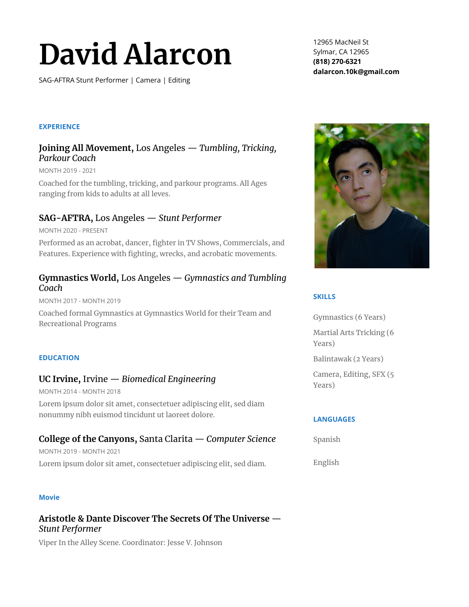# **David Alarcon**

SAG-AFTRA Stunt Performer | Camera | Editing

12965 MacNeil St Sylmar, CA 12965 **(818) 270-6321 dalarcon.10k@gmail.com**

#### **EXPERIENCE**

## **Joining All Movement,** Los Angeles — *Tumbling, Tricking, Parkour Coach*

MONTH 2019 - 2021

Coached for the tumbling, tricking, and parkour programs. All Ages ranging from kids to adults at all leves.

## **SAG-AFTRA,** Los Angeles — *Stunt Performer*

MONTH 2020 - PRESENT

Performed as an acrobat, dancer, fighter in TV Shows, Commercials, and Features. Experience with fighting, wrecks, and acrobatic movements.

## **Gymnastics World,** Los Angeles — *Gymnastics and Tumbling Coach*

MONTH 2017 - MONTH 2019

Coached formal Gymnastics at Gymnastics World for their Team and Recreational Programs

#### **EDUCATION**

## **UC Irvine,** Irvine — *Biomedical Engineering*

MONTH 2014 - MONTH 2018

Lorem ipsum dolor sit amet, consectetuer adipiscing elit, sed diam nonummy nibh euismod tincidunt ut laoreet dolore.

## **College of the Canyons,** Santa Clarita — *Computer Science*

MONTH 2019 - MONTH 2021 Lorem ipsum dolor sit amet, consectetuer adipiscing elit, sed diam.

#### **Movie**

## **Aristotle & Dante Discover The Secrets Of The Universe** — *Stunt Performer*

Viper In the Alley Scene. Coordinator: Jesse V. Johnson



#### **SKILLS**

Gymnastics (6 Years) Martial Arts Tricking (6 Years) Balintawak (2 Years)

Camera, Editing, SFX (5 Years)

## **LANGUAGES**

Spanish

English